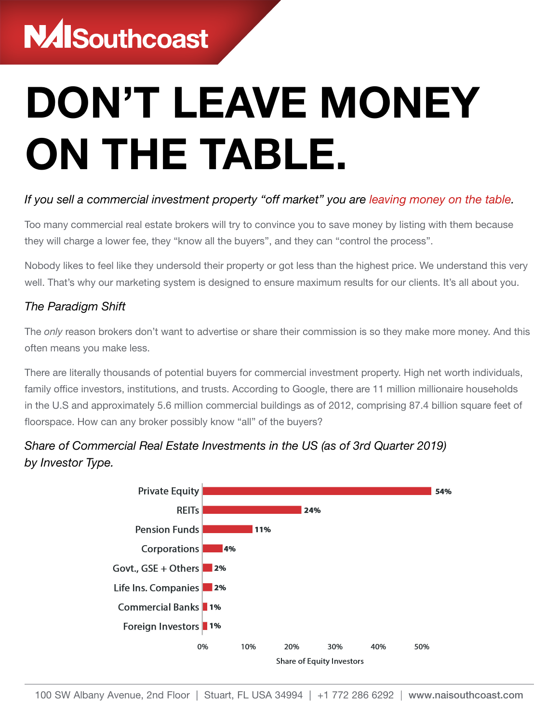## **NAISouthcoast**

# DON'T LEAVE MONEY ON THE TABLE.

### *If you sell a commercial investment property "off market" you are leaving money on the table.*

Too many commercial real estate brokers will try to convince you to save money by listing with them because they will charge a lower fee, they "know all the buyers", and they can "control the process".

Nobody likes to feel like they undersold their property or got less than the highest price. We understand this very well. That's why our marketing system is designed to ensure maximum results for our clients. It's all about you.

#### *The Paradigm Shift*

The *only* reason brokers don't want to advertise or share their commission is so they make more money. And this often means you make less.

There are literally thousands of potential buyers for commercial investment property. High net worth individuals, family office investors, institutions, and trusts. According to Google, there are 11 million millionaire households in the U.S and approximately 5.6 million commercial buildings as of 2012, comprising 87.4 billion square feet of floorspace. How can any broker possibly know "all" of the buyers?